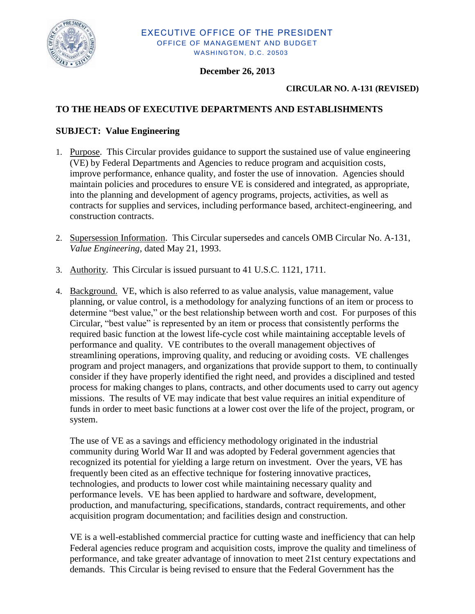

## **December 26, 2013**

#### **CIRCULAR NO. A-131 (REVISED)**

## **TO THE HEADS OF EXECUTIVE DEPARTMENTS AND ESTABLISHMENTS**

#### **SUBJECT: Value Engineering**

- 1. Purpose. This Circular provides guidance to support the sustained use of value engineering (VE) by Federal Departments and Agencies to reduce program and acquisition costs, improve performance, enhance quality, and foster the use of innovation. Agencies should maintain policies and procedures to ensure VE is considered and integrated, as appropriate, into the planning and development of agency programs, projects, activities, as well as contracts for supplies and services, including performance based, architect-engineering, and construction contracts.
- 2. Supersession Information. This Circular supersedes and cancels OMB Circular No. A-131, *Value Engineering*, dated May 21, 1993.
- 3. Authority. This Circular is issued pursuant to 41 U.S.C. 1121, 1711.
- 4. Background. VE, which is also referred to as value analysis, value management, value planning, or value control, is a methodology for analyzing functions of an item or process to determine "best value," or the best relationship between worth and cost. For purposes of this Circular, "best value" is represented by an item or process that consistently performs the required basic function at the lowest life-cycle cost while maintaining acceptable levels of performance and quality. VE contributes to the overall management objectives of streamlining operations, improving quality, and reducing or avoiding costs. VE challenges program and project managers, and organizations that provide support to them, to continually consider if they have properly identified the right need, and provides a disciplined and tested process for making changes to plans, contracts, and other documents used to carry out agency missions. The results of VE may indicate that best value requires an initial expenditure of funds in order to meet basic functions at a lower cost over the life of the project, program, or system.

The use of VE as a savings and efficiency methodology originated in the industrial community during World War II and was adopted by Federal government agencies that recognized its potential for yielding a large return on investment. Over the years, VE has frequently been cited as an effective technique for fostering innovative practices, technologies, and products to lower cost while maintaining necessary quality and performance levels. VE has been applied to hardware and software, development, production, and manufacturing, specifications, standards, contract requirements, and other acquisition program documentation; and facilities design and construction.

VE is a well-established commercial practice for cutting waste and inefficiency that can help Federal agencies reduce program and acquisition costs, improve the quality and timeliness of performance, and take greater advantage of innovation to meet 21st century expectations and demands. This Circular is being revised to ensure that the Federal Government has the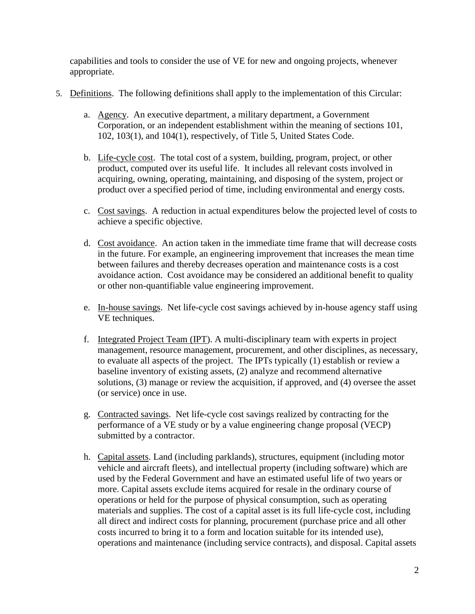capabilities and tools to consider the use of VE for new and ongoing projects, whenever appropriate.

- 5. Definitions. The following definitions shall apply to the implementation of this Circular:
	- a. Agency. An executive department, a military department, a Government Corporation, or an independent establishment within the meaning of sections 101, 102, 103(1), and 104(1), respectively, of Title 5, United States Code.
	- b. Life-cycle cost. The total cost of a system, building, program, project, or other product, computed over its useful life. It includes all relevant costs involved in acquiring, owning, operating, maintaining, and disposing of the system, project or product over a specified period of time, including environmental and energy costs.
	- c. Cost savings. A reduction in actual expenditures below the projected level of costs to achieve a specific objective.
	- d. Cost avoidance. An action taken in the immediate time frame that will decrease costs in the future. For example, an engineering improvement that increases the mean time between failures and thereby decreases operation and maintenance costs is a cost avoidance action. Cost avoidance may be considered an additional benefit to quality or other non-quantifiable value engineering improvement.
	- e. In-house savings. Net life-cycle cost savings achieved by in-house agency staff using VE techniques.
	- f. Integrated Project Team (IPT). A multi-disciplinary team with experts in project management, resource management, procurement, and other disciplines, as necessary, to evaluate all aspects of the project. The IPTs typically (1) establish or review a baseline inventory of existing assets, (2) analyze and recommend alternative solutions, (3) manage or review the acquisition, if approved, and (4) oversee the asset (or service) once in use.
	- g. Contracted savings. Net life-cycle cost savings realized by contracting for the performance of a VE study or by a value engineering change proposal (VECP) submitted by a contractor.
	- h. Capital assets. Land (including parklands), structures, equipment (including motor vehicle and aircraft fleets), and intellectual property (including software) which are used by the Federal Government and have an estimated useful life of two years or more. Capital assets exclude items acquired for resale in the ordinary course of operations or held for the purpose of physical consumption, such as operating materials and supplies. The cost of a capital asset is its full life-cycle cost, including all direct and indirect costs for planning, procurement (purchase price and all other costs incurred to bring it to a form and location suitable for its intended use), operations and maintenance (including service contracts), and disposal. Capital assets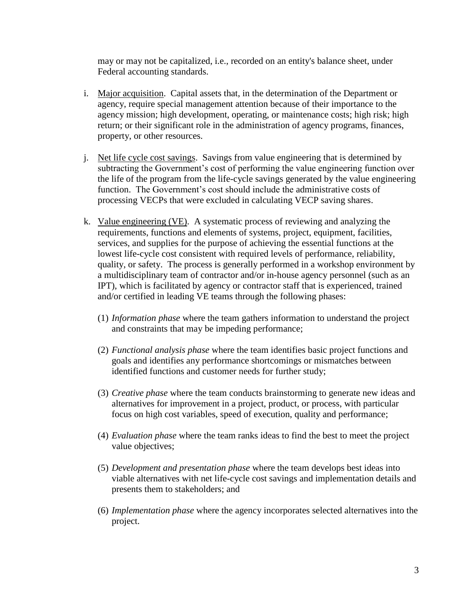may or may not be capitalized, i.e., recorded on an entity's balance sheet, under Federal accounting standards.

- i. Major acquisition. Capital assets that, in the determination of the Department or agency, require special management attention because of their importance to the agency mission; high development, operating, or maintenance costs; high risk; high return; or their significant role in the administration of agency programs, finances, property, or other resources.
- j. Net life cycle cost savings. Savings from value engineering that is determined by subtracting the Government's cost of performing the value engineering function over the life of the program from the life-cycle savings generated by the value engineering function. The Government's cost should include the administrative costs of processing VECPs that were excluded in calculating VECP saving shares.
- k. Value engineering (VE). A systematic process of reviewing and analyzing the requirements, functions and elements of systems, project, equipment, facilities, services, and supplies for the purpose of achieving the essential functions at the lowest life-cycle cost consistent with required levels of performance, reliability, quality, or safety. The process is generally performed in a workshop environment by a multidisciplinary team of contractor and/or in-house agency personnel (such as an IPT), which is facilitated by agency or contractor staff that is experienced, trained and/or certified in leading VE teams through the following phases:
	- (1) *Information phase* where the team gathers information to understand the project and constraints that may be impeding performance;
	- (2) *Functional analysis phase* where the team identifies basic project functions and goals and identifies any performance shortcomings or mismatches between identified functions and customer needs for further study;
	- (3) *Creative phase* where the team conducts brainstorming to generate new ideas and alternatives for improvement in a project, product, or process, with particular focus on high cost variables, speed of execution, quality and performance;
	- (4) *Evaluation phase* where the team ranks ideas to find the best to meet the project value objectives;
	- (5) *Development and presentation phase* where the team develops best ideas into viable alternatives with net life-cycle cost savings and implementation details and presents them to stakeholders; and
	- (6) *Implementation phase* where the agency incorporates selected alternatives into the project.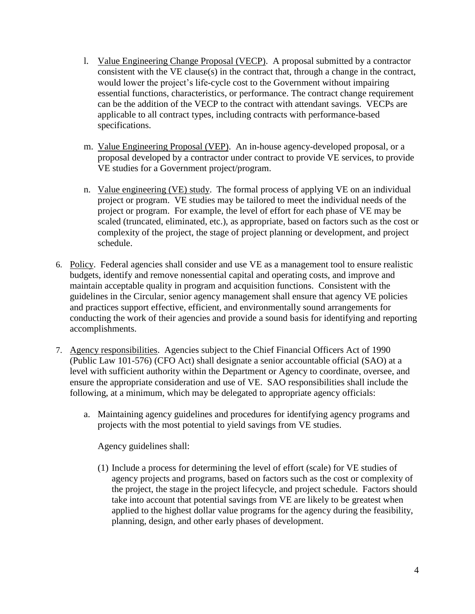- l. Value Engineering Change Proposal (VECP). A proposal submitted by a contractor consistent with the VE clause(s) in the contract that, through a change in the contract, would lower the project's life-cycle cost to the Government without impairing essential functions, characteristics, or performance. The contract change requirement can be the addition of the VECP to the contract with attendant savings. VECPs are applicable to all contract types, including contracts with performance-based specifications.
- m. Value Engineering Proposal (VEP). An in-house agency-developed proposal, or a proposal developed by a contractor under contract to provide VE services, to provide VE studies for a Government project/program.
- n. Value engineering (VE) study. The formal process of applying VE on an individual project or program. VE studies may be tailored to meet the individual needs of the project or program. For example, the level of effort for each phase of VE may be scaled (truncated, eliminated, etc.), as appropriate, based on factors such as the cost or complexity of the project, the stage of project planning or development, and project schedule.
- 6. Policy. Federal agencies shall consider and use VE as a management tool to ensure realistic budgets, identify and remove nonessential capital and operating costs, and improve and maintain acceptable quality in program and acquisition functions. Consistent with the guidelines in the Circular, senior agency management shall ensure that agency VE policies and practices support effective, efficient, and environmentally sound arrangements for conducting the work of their agencies and provide a sound basis for identifying and reporting accomplishments.
- 7. Agency responsibilities. Agencies subject to the Chief Financial Officers Act of 1990 (Public Law 101-576) (CFO Act) shall designate a senior accountable official (SAO) at a level with sufficient authority within the Department or Agency to coordinate, oversee, and ensure the appropriate consideration and use of VE. SAO responsibilities shall include the following, at a minimum, which may be delegated to appropriate agency officials:
	- a. Maintaining agency guidelines and procedures for identifying agency programs and projects with the most potential to yield savings from VE studies.

Agency guidelines shall:

(1) Include a process for determining the level of effort (scale) for VE studies of agency projects and programs, based on factors such as the cost or complexity of the project, the stage in the project lifecycle, and project schedule. Factors should take into account that potential savings from VE are likely to be greatest when applied to the highest dollar value programs for the agency during the feasibility, planning, design, and other early phases of development.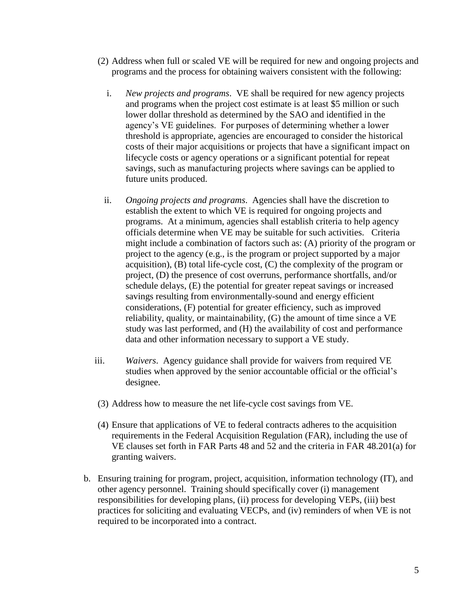- (2) Address when full or scaled VE will be required for new and ongoing projects and programs and the process for obtaining waivers consistent with the following:
	- i. *New projects and programs*. VE shall be required for new agency projects and programs when the project cost estimate is at least \$5 million or such lower dollar threshold as determined by the SAO and identified in the agency's VE guidelines. For purposes of determining whether a lower threshold is appropriate, agencies are encouraged to consider the historical costs of their major acquisitions or projects that have a significant impact on lifecycle costs or agency operations or a significant potential for repeat savings, such as manufacturing projects where savings can be applied to future units produced.
	- ii. *Ongoing projects and programs*. Agencies shall have the discretion to establish the extent to which VE is required for ongoing projects and programs. At a minimum, agencies shall establish criteria to help agency officials determine when VE may be suitable for such activities. Criteria might include a combination of factors such as: (A) priority of the program or project to the agency (e.g., is the program or project supported by a major acquisition), (B) total life-cycle cost, (C) the complexity of the program or project, (D) the presence of cost overruns, performance shortfalls, and/or schedule delays, (E) the potential for greater repeat savings or increased savings resulting from environmentally-sound and energy efficient considerations, (F) potential for greater efficiency, such as improved reliability, quality, or maintainability, (G) the amount of time since a VE study was last performed, and (H) the availability of cost and performance data and other information necessary to support a VE study.
- iii. *Waivers*. Agency guidance shall provide for waivers from required VE studies when approved by the senior accountable official or the official's designee.
- (3) Address how to measure the net life-cycle cost savings from VE.
- (4) Ensure that applications of VE to federal contracts adheres to the acquisition requirements in the Federal Acquisition Regulation (FAR), including the use of VE clauses set forth in FAR Parts 48 and 52 and the criteria in FAR 48.201(a) for granting waivers.
- b. Ensuring training for program, project, acquisition, information technology (IT), and other agency personnel. Training should specifically cover (i) management responsibilities for developing plans, (ii) process for developing VEPs, (iii) best practices for soliciting and evaluating VECPs, and (iv) reminders of when VE is not required to be incorporated into a contract.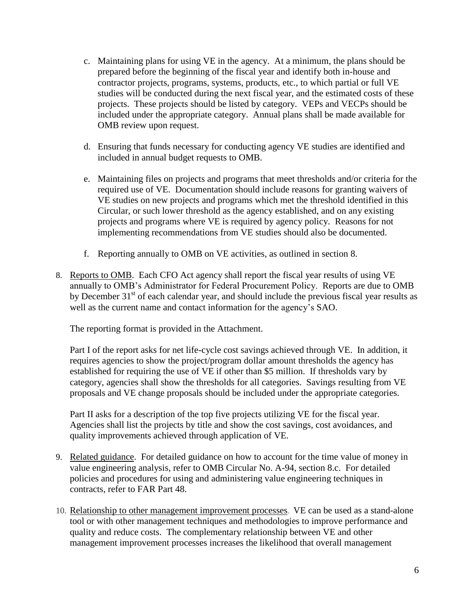- c. Maintaining plans for using VE in the agency. At a minimum, the plans should be prepared before the beginning of the fiscal year and identify both in-house and contractor projects, programs, systems, products, etc., to which partial or full VE studies will be conducted during the next fiscal year, and the estimated costs of these projects. These projects should be listed by category. VEPs and VECPs should be included under the appropriate category. Annual plans shall be made available for OMB review upon request.
- d. Ensuring that funds necessary for conducting agency VE studies are identified and included in annual budget requests to OMB.
- e. Maintaining files on projects and programs that meet thresholds and/or criteria for the required use of VE. Documentation should include reasons for granting waivers of VE studies on new projects and programs which met the threshold identified in this Circular, or such lower threshold as the agency established, and on any existing projects and programs where VE is required by agency policy. Reasons for not implementing recommendations from VE studies should also be documented.
- f. Reporting annually to OMB on VE activities, as outlined in section 8.
- 8. Reports to OMB. Each CFO Act agency shall report the fiscal year results of using VE annually to OMB's Administrator for Federal Procurement Policy. Reports are due to OMB by December 31<sup>st</sup> of each calendar year, and should include the previous fiscal year results as well as the current name and contact information for the agency's SAO.

The reporting format is provided in the Attachment.

Part I of the report asks for net life-cycle cost savings achieved through VE. In addition, it requires agencies to show the project/program dollar amount thresholds the agency has established for requiring the use of VE if other than \$5 million. If thresholds vary by category, agencies shall show the thresholds for all categories. Savings resulting from VE proposals and VE change proposals should be included under the appropriate categories.

Part II asks for a description of the top five projects utilizing VE for the fiscal year. Agencies shall list the projects by title and show the cost savings, cost avoidances, and quality improvements achieved through application of VE.

- 9. Related guidance. For detailed guidance on how to account for the time value of money in value engineering analysis, refer to OMB Circular No. A-94, section 8.c. For detailed policies and procedures for using and administering value engineering techniques in contracts, refer to FAR Part 48.
- 10. [Relationship to other management improvement processes](http://www.whitehouse.gov/omb/circulars_a131#5). VE can be used as a stand-alone tool or with other management techniques and methodologies to improve performance and quality and reduce costs. The complementary relationship between VE and other management improvement processes increases the likelihood that overall management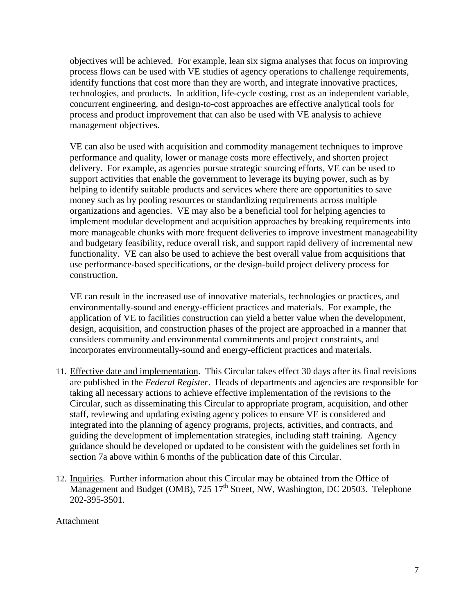objectives will be achieved. For example, lean six sigma analyses that focus on improving process flows can be used with VE studies of agency operations to challenge requirements, identify functions that cost more than they are worth, and integrate innovative practices, technologies, and products. In addition, life-cycle costing, cost as an independent variable, concurrent engineering, and design-to-cost approaches are effective analytical tools for process and product improvement that can also be used with VE analysis to achieve management objectives.

VE can also be used with acquisition and commodity management techniques to improve performance and quality, lower or manage costs more effectively, and shorten project delivery. For example, as agencies pursue strategic sourcing efforts, VE can be used to support activities that enable the government to leverage its buying power, such as by helping to identify suitable products and services where there are opportunities to save money such as by pooling resources or standardizing requirements across multiple organizations and agencies. VE may also be a beneficial tool for helping agencies to implement modular development and acquisition approaches by breaking requirements into more manageable chunks with more frequent deliveries to improve investment manageability and budgetary feasibility, reduce overall risk, and support rapid delivery of incremental new functionality. VE can also be used to achieve the best overall value from acquisitions that use performance-based specifications, or the design-build project delivery process for construction.

VE can result in the increased use of innovative materials, technologies or practices, and environmentally-sound and energy-efficient practices and materials. For example, the application of VE to facilities construction can yield a better value when the development, design, acquisition, and construction phases of the project are approached in a manner that considers community and environmental commitments and project constraints, and incorporates environmentally-sound and energy-efficient practices and materials.

- 11. Effective date and implementation. This Circular takes effect 30 days after its final revisions are published in the *Federal Register*. Heads of departments and agencies are responsible for taking all necessary actions to achieve effective implementation of the revisions to the Circular, such as disseminating this Circular to appropriate program, acquisition, and other staff, reviewing and updating existing agency polices to ensure VE is considered and integrated into the planning of agency programs, projects, activities, and contracts, and guiding the development of implementation strategies, including staff training. Agency guidance should be developed or updated to be consistent with the guidelines set forth in section 7a above within 6 months of the publication date of this Circular.
- 12. Inquiries. Further information about this Circular may be obtained from the Office of Management and Budget (OMB),  $725 \times 17^{th}$  Street, NW, Washington, DC 20503. Telephone 202-395-3501.

Attachment